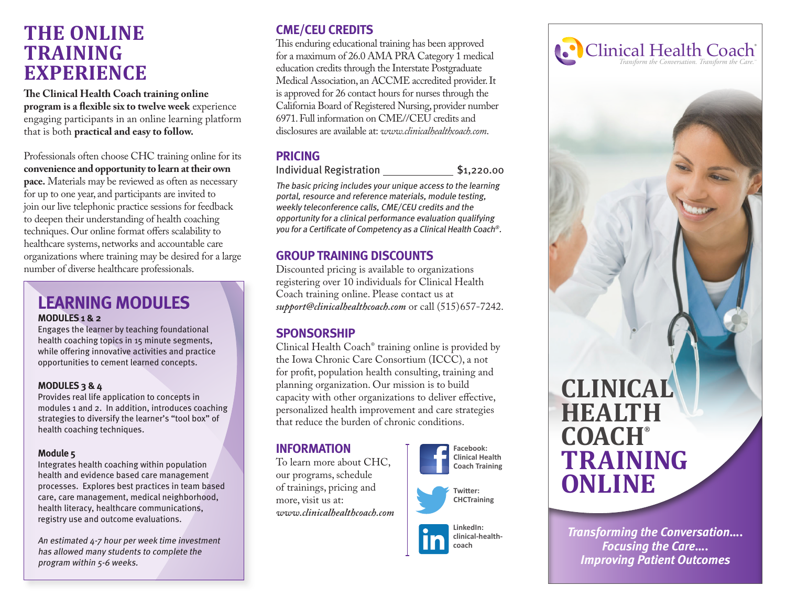# **THE ONLINE TRAINING EXPERIENCE**

**The Clinical Health Coach training online program is a flexible six to twelve week** experience engaging participants in an online learning platform that is both **practical and easy to follow.**

Professionals often choose CHC training online for its **convenience and opportunity to learn at their own pace.** Materials may be reviewed as often as necessary for up to one year, and participants are invited to join our live telephonic practice sessions for feedback to deepen their understanding of health coaching techniques. Our online format offers scalability to healthcare systems, networks and accountable care organizations where training may be desired for a large number of diverse healthcare professionals.

## **LEARNING MODULES MODULES 1 & 2**

Engages the learner by teaching foundational health coaching topics in 15 minute segments, while offering innovative activities and practice opportunities to cement learned concepts.

### **MODULES 3 & 4**

Provides real life application to concepts in modules 1 and 2. In addition, introduces coaching strategies to diversify the learner's "tool box" of health coaching techniques.

### **Module 5**

Integrates health coaching within population health and evidence based care management processes. Explores best practices in team based care, care management, medical neighborhood, health literacy, healthcare communications, registry use and outcome evaluations.

An estimated 4-7 hour per week time investment has allowed many students to complete the program within 5-6 weeks.

## **CME/CEU CREDITS**

This enduring educational training has been approved for a maximum of 26.0 AMA PRA Category 1 medical education credits through the Interstate Postgraduate Medical Association, an ACCME accredited provider. It is approved for 26 contact hours for nurses through the California Board of Registered Nursing, provider number 6971. Full information on CME//CEU credits and disclosures are available at: *www.clinicalhealthcoach.com*.

## **PRICING**

Individual Registration \$1,220.00

The basic pricing includes your unique access to the learning portal, resource and reference materials, module testing, weekly teleconference calls, CME/CEU credits and the opportunity for a clinical performance evaluation qualifying you for a Certificate of Competency as a Clinical Health Coach®.

## **GROUP TRAINING DISCOUNTS**

Discounted pricing is available to organizations registering over 10 individuals for Clinical Health Coach training online. Please contact us at *support@clinicalhealthcoach.com* or call (515)657-7242.

## **SPONSORSHIP**

Clinical Health Coach® training online is provided by the Iowa Chronic Care Consortium (ICCC), a not for profit, population health consulting, training and planning organization. Our mission is to build capacity with other organizations to deliver effective, personalized health improvement and care strategies that reduce the burden of chronic conditions.

## **INFORMATION**

To learn more about CHC, our programs, schedule of trainings, pricing and more, visit us at: *www.clinicalhealthcoach.com*

#### **Facebook: Clinical Health Coach Training**









*Transforming the Conversation…. Focusing the Care…. Improving Patient Outcomes*